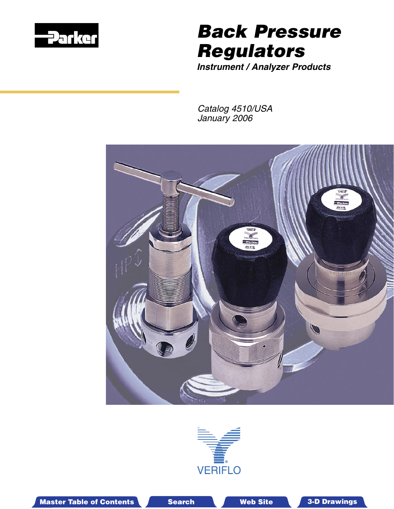

# Back Pressure Regulators

**Instrument / Analyzer Products**

Catalog 4510/USA January 2006





Master Table of Contents **3. Dearch Master Table of Contents 3-D Drawings** Search Master Table of Contents 3-D Drawings

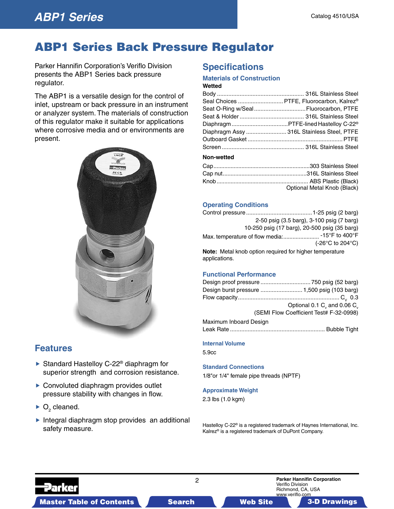## **ABP1 Series**

# ABP1 Series Back Pressure Regulator

Parker Hannifin Corporation's Veriflo Division presents the ABP1 Series back pressure regulator.

The ABP1 is a versatile design for the control of inlet, upstream or back pressure in an instrument or analyzer system. The materials of construction of this regulator make it suitable for applications where corrosive media and or environments are present.



## **Features**

- ▶ Standard Hastelloy C-22<sup>®</sup> diaphragm for superior strength and corrosion resistance.
- ▶ Convoluted diaphragm provides outlet pressure stability with changes in flow.
- $\triangleright$  O<sub>2</sub> cleaned.
- Integral diaphragm stop provides an additional safety measure.

## **Specifications**

#### **Materials of Construction**

#### **Wetted**

|            | Seal Choices  PTFE, Fluorocarbon, Kalrez®        |
|------------|--------------------------------------------------|
|            | Seat O-Ring w/Seal Fluorocarbon, PTFE            |
|            |                                                  |
|            | Diaphragm PTFE-lined Hastelloy C-22 <sup>®</sup> |
|            | Diaphragm Assy  316L Stainless Steel, PTFE       |
|            |                                                  |
|            |                                                  |
| Non-wetted |                                                  |
|            |                                                  |
|            |                                                  |

Knob ........................................................... ABS Plastic (Black)

Optional Metal Knob (Black)

### **Operating Conditions**

|                                                                          | 2-50 psig (3.5 barg), 3-100 psig (7 barg) |
|--------------------------------------------------------------------------|-------------------------------------------|
| 10-250 psig (17 barg), 20-500 psig (35 barg)                             |                                           |
|                                                                          |                                           |
|                                                                          | (-26 $\degree$ C to 204 $\degree$ C)      |
| Note: Metal knob option required for higher temperature<br>applications. |                                           |

#### **Functional Performance**

| Design burst pressure  1,500 psig (103 barg)                                  |
|-------------------------------------------------------------------------------|
|                                                                               |
| Optional 0.1 C <sub><math>v</math></sub> and 0.06 C <sub><math>v</math></sub> |
| (SEMI Flow Coefficient Test# F-32-0998)                                       |
|                                                                               |

Maximum Inboard Design Leak Rate ........................................................... Bubble Tight

#### **Internal Volume**

5.9cc

**Standard Connections** 1/8"or 1/4" female pipe threads (NPTF)

#### **Approximate Weight**

2.3 lbs (1.0 kgm)

Hastelloy C-22® is a registered trademark of Haynes International, Inc. Kalrez® is a registered trademark of DuPont Company.

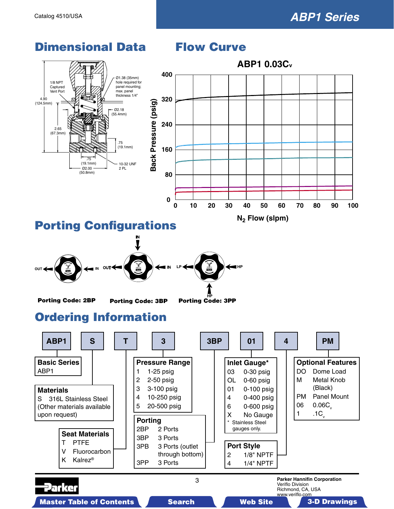www.veriflo.com



Master Table of Contents **3. Dearch Master Table of Contents 3-D Drawings 3-D Drawings 3-D Drawings 3-D Drawings** 

## Dimensional Data Flow Curve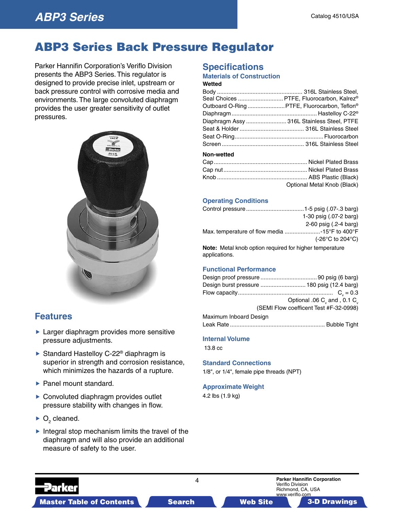## **ABP3 Series**

# ABP3 Series Back Pressure Regulator

Parker Hannifin Corporation's Veriflo Division presents the ABP3 Series. This regulator is designed to provide precise inlet, upstream or back pressure control with corrosive media and environments. The large convoluted diaphragm provides the user greater sensitivity of outlet pressures.



## **Features**

- **Larger diaphragm provides more sensitive** pressure adjustments.
- ▶ Standard Hastelloy C-22<sup>®</sup> diaphragm is superior in strength and corrosion resistance, which minimizes the hazards of a rupture.
- ▶ Panel mount standard.
- ▶ Convoluted diaphragm provides outlet pressure stability with changes in flow.
- $\triangleright$  O<sub>2</sub> cleaned.
- $\blacktriangleright$  Integral stop mechanism limits the travel of the diaphragm and will also provide an additional measure of safety to the user.

## **Specifications**

### **Materials of Construction**

#### **Wetted**

|                                                 | Seal Choices  PTFE, Fluorocarbon, Kalrez®    |
|-------------------------------------------------|----------------------------------------------|
|                                                 | Outboard O-Ring  PTFE, Fluorocarbon, Teflon® |
|                                                 |                                              |
|                                                 | Diaphragm Assy  316L Stainless Steel, PTFE   |
|                                                 |                                              |
|                                                 |                                              |
|                                                 |                                              |
| Non-wetted                                      |                                              |
| $\mathsf{Can}$ . The contract of $\mathsf{Can}$ | Nickel Plated Brass                          |

| Optional Metal Knob (Black) |
|-----------------------------|
|                             |

#### **Operating Conditions**

|                                                                                 | 1-30 psig (.07-2 barg)                |
|---------------------------------------------------------------------------------|---------------------------------------|
|                                                                                 | 2-60 psig (.2-4 barg)                 |
|                                                                                 |                                       |
|                                                                                 | $(-26^{\circ}$ C to 204 $^{\circ}$ C) |
| <b>Note:</b> Metal knob option required for higher temperature<br>applications. |                                       |

#### **Functional Performance**

| Design burst pressure  180 psig (12.4 barg) |                                                      |
|---------------------------------------------|------------------------------------------------------|
|                                             |                                                      |
|                                             | Optional .06 C <sub>v</sub> and , 0.1 C <sub>v</sub> |
|                                             | (SEMI Flow coefficent Test #F-32-0998)               |
| Maximum Inboard Design                      |                                                      |
|                                             |                                                      |

## **Internal Volume**

13.8 cc

#### **Standard Connections**

1/8", or 1/4", female pipe threads (NPT)

#### **Approximate Weight**

4.2 lbs (1.9 kg)

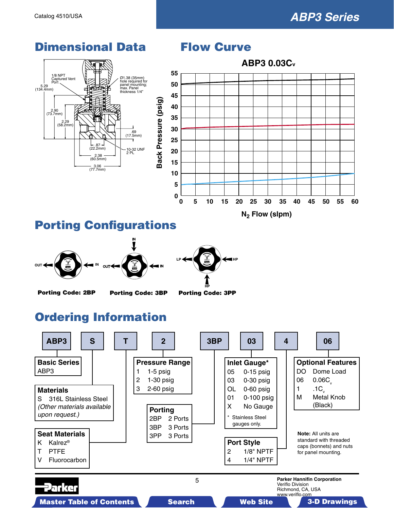#### Dimensional Data Flow Curve **ABP3 0.03Cv 55** 1/8 NPT Ø1.38 (35mm) hole required for panel mounting; max. Panel thickness 1/4" Captured Vent Port **50**  $5.29$  (134.4mm) **45 Back Pressure (psig)** Back Pressure (psig) **40** 2.90 (73.7mm) **35** 2.29<br>58.2m **30** .69 (17.5mm) **25**  $\frac{1}{22.87}$  – 1 10-32 UNF 2 PL **20** - 2.38 -<br>(60.5mm) **15**  $-3.06$  – (77.7mm) **10 5 0 0 5 10 15 20 25 30 35 40 45 50 55 60 N<sub>2</sub>** Flow (slpm)

## Porting Configurations





Porting Code: 2BP Porting Code: 3BP Porting Code: 3PP

# Ordering Information

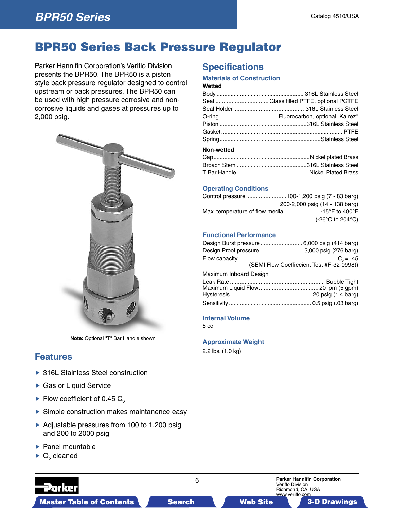## BPR50 Series Back Pressure Regulator

Parker Hannifin Corporation's Veriflo Division presents the BPR50. The BPR50 is a piston style back pressure regulator designed to control upstream or back pressures. The BPR50 can be used with high pressure corrosive and noncorrosive liquids and gases at pressures up to 2,000 psig.



**Note:** Optional "T" Bar Handle shown

## **Features**

- ▶ 316L Stainless Steel construction
- ▶ Gas or Liquid Service
- Flow coefficient of 0.45  $C_v$
- Simple construction makes maintanence easy
- Adjustable pressures from 100 to 1,200 psig and 200 to 2000 psig
- $\blacktriangleright$  Panel mountable
- $\triangleright$  O<sub>2</sub> cleaned

## **Specifications**

#### **Materials of Construction**

#### **Wetted**

| Seal  Glass filled PTFE, optional PCTFE |
|-----------------------------------------|
|                                         |
|                                         |
|                                         |
|                                         |
|                                         |
|                                         |

#### **Non-wetted**

#### **Operating Conditions**

| 200-2,000 psig (14 - 138 barg)                |
|-----------------------------------------------|
| Max. temperature of flow media -15°F to 400°F |
| $(-26^{\circ}$ C to 204 $^{\circ}$ C)         |
|                                               |

#### **Functional Performance**

| Design Burst pressure 6,000 psig (414 barg)  |                                           |
|----------------------------------------------|-------------------------------------------|
| Design Proof pressure  3,000 psig (276 barg) |                                           |
|                                              |                                           |
|                                              | (SEMI Flow Coeffiecient Test #F-32-0998)) |
| Maximum Inboard Design                       |                                           |
| .                                            | ------                                    |

#### **Internal Volume**

5 cc

#### **Approximate Weight**

2.2 lbs. (1.0 kg)

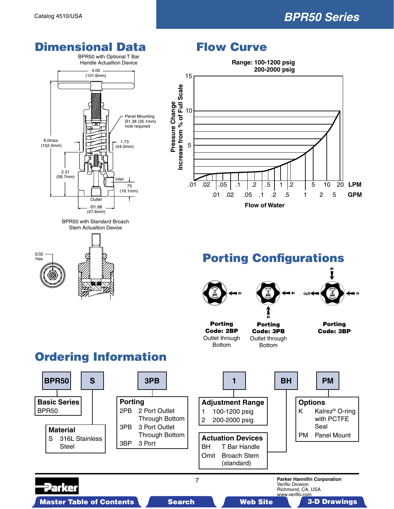# **BPR50 Series**

# **Dimensional Data Flow Curve**





BPR50 with Standard Broach Stem Actualtion Device



# **Range: 100-1200 psig** 15 Pressure Change **Pressure Change**



**200-2000 psig**

# Porting Configurations



# Ordering Information